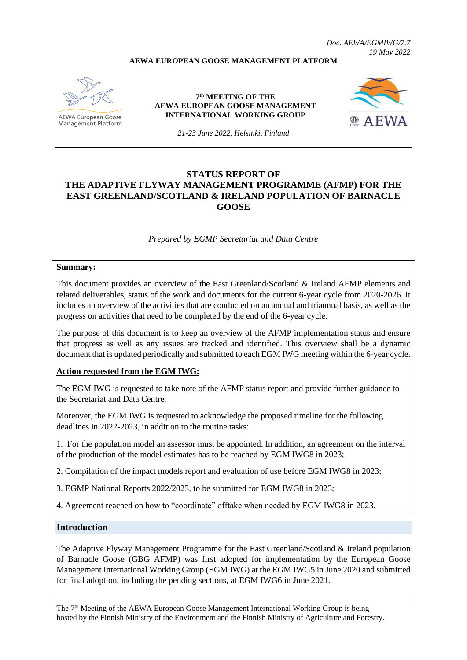### **AEWA EUROPEAN GOOSE MANAGEMENT PLATFORM**



**Management Platform** 

**7 th MEETING OF THE AEWA EUROPEAN GOOSE MANAGEMENT INTERNATIONAL WORKING GROUP**



*19 May 2022*

*Doc. AEWA/EGMIWG/7.7*

*21-23 June 2022, Helsinki, Finland*

# **STATUS REPORT OF THE ADAPTIVE FLYWAY MANAGEMENT PROGRAMME (AFMP) FOR THE EAST GREENLAND/SCOTLAND & IRELAND POPULATION OF BARNACLE GOOSE**

*Prepared by EGMP Secretariat and Data Centre*

### **Summary:**

This document provides an overview of the East Greenland/Scotland & Ireland AFMP elements and related deliverables, status of the work and documents for the current 6-year cycle from 2020-2026. It includes an overview of the activities that are conducted on an annual and triannual basis, as well as the progress on activities that need to be completed by the end of the 6-year cycle.

The purpose of this document is to keep an overview of the AFMP implementation status and ensure that progress as well as any issues are tracked and identified. This overview shall be a dynamic document that is updated periodically and submitted to each EGM IWG meeting within the 6-year cycle.

#### **Action requested from the EGM IWG:**

The EGM IWG is requested to take note of the AFMP status report and provide further guidance to the Secretariat and Data Centre.

Moreover, the EGM IWG is requested to acknowledge the proposed timeline for the following deadlines in 2022-2023, in addition to the routine tasks:

1. For the population model an assessor must be appointed. In addition, an agreement on the interval of the production of the model estimates has to be reached by EGM IWG8 in 2023;

2. Compilation of the impact models report and evaluation of use before EGM IWG8 in 2023;

3. EGMP National Reports 2022/2023, to be submitted for EGM IWG8 in 2023;

4. Agreement reached on how to "coordinate" offtake when needed by EGM IWG8 in 2023.

# **Introduction**

The Adaptive Flyway Management Programme for the East Greenland/Scotland & Ireland population of Barnacle Goose (GBG AFMP) was first adopted for implementation by the European Goose Management International Working Group (EGM IWG) at the EGM IWG5 in June 2020 and submitted for final adoption, including the pending sections, at EGM IWG6 in June 2021.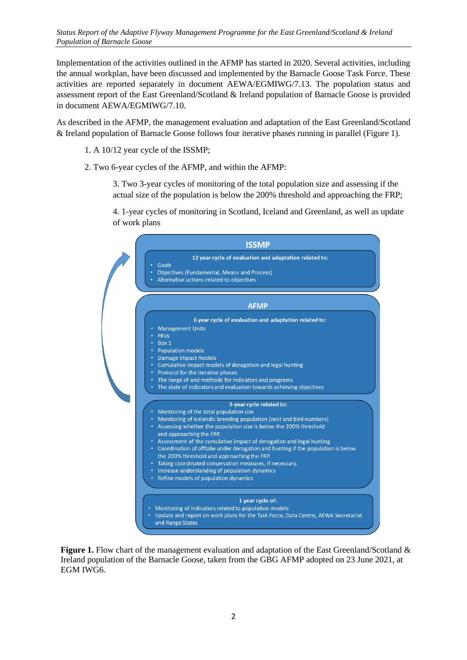Implementation of the activities outlined in the AFMP has started in 2020. Several activities, including the annual workplan, have been discussed and implemented by the Barnacle Goose Task Force. These activities are reported separately in document AEWA/EGMIWG/7.13. The population status and assessment report of the East Greenland/Scotland & Ireland population of Barnacle Goose is provided in document AEWA/EGMIWG/7.10.

As described in the AFMP, the management evaluation and adaptation of the East Greenland/Scotland & Ireland population of Barnacle Goose follows four iterative phases running in parallel (Figure 1).

- 1. A 10/12 year cycle of the ISSMP;
- 2. Two 6-year cycles of the AFMP, and within the AFMP:

3. Two 3-year cycles of monitoring of the total population size and assessing if the actual size of the population is below the 200% threshold and approaching the FRP;

4. 1-year cycles of monitoring in Scotland, Iceland and Greenland, as well as update of work plans



**Figure 1.** Flow chart of the management evaluation and adaptation of the East Greenland/Scotland & Ireland population of the Barnacle Goose, taken from the GBG AFMP adopted on 23 June 2021, at EGM IWG6.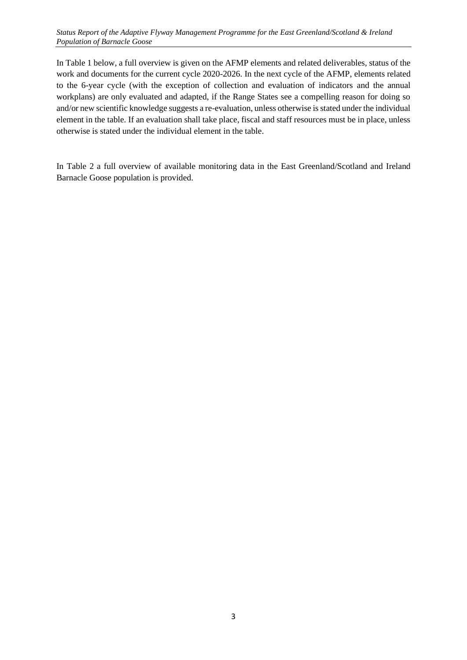In Table 1 below, a full overview is given on the AFMP elements and related deliverables, status of the work and documents for the current cycle 2020-2026. In the next cycle of the AFMP, elements related to the 6-year cycle (with the exception of collection and evaluation of indicators and the annual workplans) are only evaluated and adapted, if the Range States see a compelling reason for doing so and/or new scientific knowledge suggests a re-evaluation, unless otherwise is stated under the individual element in the table. If an evaluation shall take place, fiscal and staff resources must be in place, unless otherwise is stated under the individual element in the table.

In Table 2 a full overview of available monitoring data in the East Greenland/Scotland and Ireland Barnacle Goose population is provided.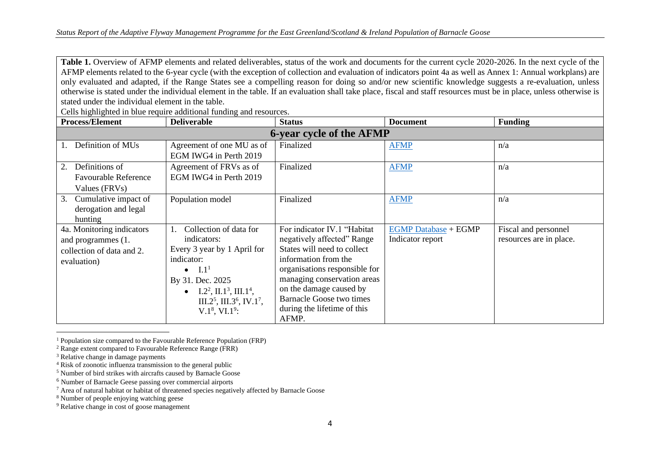Table 1. Overview of AFMP elements and related deliverables, status of the work and documents for the current cycle 2020-2026. In the next cycle of the AFMP elements related to the 6-year cycle (with the exception of collection and evaluation of indicators point 4a as well as Annex 1: Annual workplans) are only evaluated and adapted, if the Range States see a compelling reason for doing so and/or new scientific knowledge suggests a re-evaluation, unless otherwise is stated under the individual element in the table. If an evaluation shall take place, fiscal and staff resources must be in place, unless otherwise is stated under the individual element in the table.

Cells highlighted in blue require additional funding and resources.

| <b>Process/Element</b>      | <b>Deliverable</b>                                   | <b>Status</b>                   | <b>Document</b>             | <b>Funding</b>          |  |
|-----------------------------|------------------------------------------------------|---------------------------------|-----------------------------|-------------------------|--|
| 6-year cycle of the AFMP    |                                                      |                                 |                             |                         |  |
| Definition of MUs           | Agreement of one MU as of                            | Finalized                       | <b>AFMP</b>                 | n/a                     |  |
|                             | EGM IWG4 in Perth 2019                               |                                 |                             |                         |  |
| Definitions of<br>2.        | Agreement of FRVs as of                              | Finalized                       | <b>AFMP</b>                 | n/a                     |  |
| <b>Favourable Reference</b> | EGM IWG4 in Perth 2019                               |                                 |                             |                         |  |
| Values (FRVs)               |                                                      |                                 |                             |                         |  |
| Cumulative impact of<br>3.  | Population model                                     | Finalized                       | <b>AFMP</b>                 | n/a                     |  |
| derogation and legal        |                                                      |                                 |                             |                         |  |
| hunting                     |                                                      |                                 |                             |                         |  |
| 4a. Monitoring indicators   | Collection of data for                               | For indicator IV.1 "Habitat     | <b>EGMP Database + EGMP</b> | Fiscal and personnel    |  |
| and programmes (1.          | indicators:                                          | negatively affected" Range      | Indicator report            | resources are in place. |  |
| collection of data and 2.   | Every 3 year by 1 April for                          | States will need to collect     |                             |                         |  |
| evaluation)                 | indicator:                                           | information from the            |                             |                         |  |
|                             | $\bullet$ $I.1^1$                                    | organisations responsible for   |                             |                         |  |
|                             | By 31. Dec. 2025                                     | managing conservation areas     |                             |                         |  |
|                             | • $I.2^2$ , II.1 <sup>3</sup> , III.1 <sup>4</sup> , | on the damage caused by         |                             |                         |  |
|                             | $III.25, III.36, IV.17$ ,                            | <b>Barnacle Goose two times</b> |                             |                         |  |
|                             | $V.18$ , VI.1 <sup>9</sup> :                         | during the lifetime of this     |                             |                         |  |
|                             |                                                      | AFMP.                           |                             |                         |  |

<sup>1</sup> Population size compared to the Favourable Reference Population (FRP)

<sup>&</sup>lt;sup>2</sup> Range extent compared to Favourable Reference Range (FRR)

<sup>&</sup>lt;sup>3</sup> Relative change in damage payments

<sup>4</sup> Risk of zoonotic influenza transmission to the general public

<sup>5</sup> Number of bird strikes with aircrafts caused by Barnacle Goose

<sup>6</sup> Number of Barnacle Geese passing over commercial airports

<sup>7</sup> Area of natural habitat or habitat of threatened species negatively affected by Barnacle Goose

<sup>8</sup> Number of people enjoying watching geese

<sup>9</sup> Relative change in cost of goose management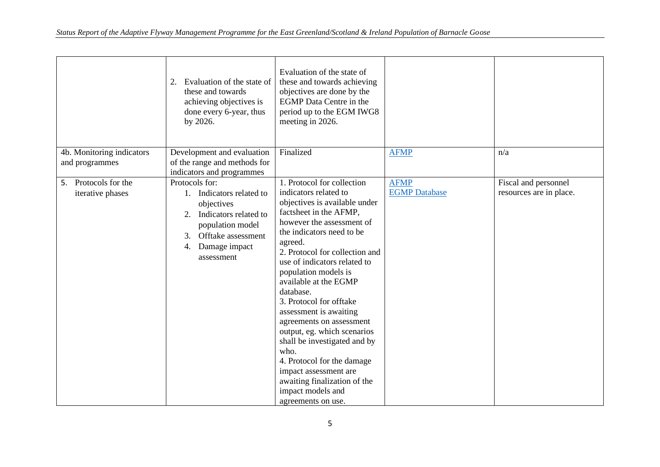|                                             | Evaluation of the state of<br>2.<br>these and towards<br>achieving objectives is<br>done every 6-year, thus<br>by 2026.                                                      | Evaluation of the state of<br>these and towards achieving<br>objectives are done by the<br><b>EGMP</b> Data Centre in the<br>period up to the EGM IWG8<br>meeting in 2026.                                                                                                                                                                                                                                                                                                                                                                                                                                    |                                     |                                                 |
|---------------------------------------------|------------------------------------------------------------------------------------------------------------------------------------------------------------------------------|---------------------------------------------------------------------------------------------------------------------------------------------------------------------------------------------------------------------------------------------------------------------------------------------------------------------------------------------------------------------------------------------------------------------------------------------------------------------------------------------------------------------------------------------------------------------------------------------------------------|-------------------------------------|-------------------------------------------------|
| 4b. Monitoring indicators<br>and programmes | Development and evaluation<br>of the range and methods for<br>indicators and programmes                                                                                      | Finalized                                                                                                                                                                                                                                                                                                                                                                                                                                                                                                                                                                                                     | <b>AFMP</b>                         | n/a                                             |
| 5. Protocols for the<br>iterative phases    | Protocols for:<br>1. Indicators related to<br>objectives<br>Indicators related to<br>2.<br>population model<br>3.<br>Offtake assessment<br>Damage impact<br>4.<br>assessment | 1. Protocol for collection<br>indicators related to<br>objectives is available under<br>factsheet in the AFMP,<br>however the assessment of<br>the indicators need to be<br>agreed.<br>2. Protocol for collection and<br>use of indicators related to<br>population models is<br>available at the EGMP<br>database.<br>3. Protocol for offtake<br>assessment is awaiting<br>agreements on assessment<br>output, eg. which scenarios<br>shall be investigated and by<br>who.<br>4. Protocol for the damage<br>impact assessment are<br>awaiting finalization of the<br>impact models and<br>agreements on use. | <b>AFMP</b><br><b>EGMP</b> Database | Fiscal and personnel<br>resources are in place. |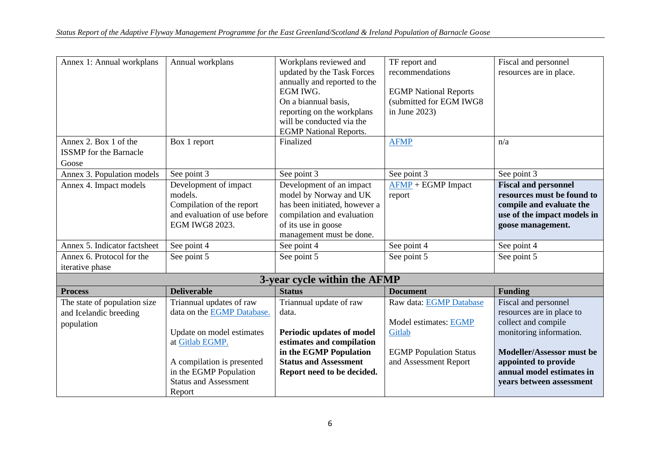| Annex 1: Annual workplans     | Annual workplans             | Workplans reviewed and                         | TF report and                 | Fiscal and personnel        |  |
|-------------------------------|------------------------------|------------------------------------------------|-------------------------------|-----------------------------|--|
|                               |                              | updated by the Task Forces                     | recommendations               | resources are in place.     |  |
|                               |                              | annually and reported to the                   |                               |                             |  |
|                               |                              | EGM IWG.                                       | <b>EGMP</b> National Reports  |                             |  |
|                               |                              | On a biannual basis,                           | (submitted for EGM IWG8       |                             |  |
|                               |                              | reporting on the workplans<br>in June $2023$ ) |                               |                             |  |
|                               |                              | will be conducted via the                      |                               |                             |  |
|                               |                              | <b>EGMP</b> National Reports.                  |                               |                             |  |
| Annex 2. Box 1 of the         | Box 1 report                 | Finalized                                      | <b>AFMP</b>                   | n/a                         |  |
| <b>ISSMP</b> for the Barnacle |                              |                                                |                               |                             |  |
| Goose                         |                              |                                                |                               |                             |  |
| Annex 3. Population models    | See point 3                  | See point 3                                    | See point 3                   | See point 3                 |  |
| Annex 4. Impact models        | Development of impact        | Development of an impact                       | $AFMP + EGMP$ Impact          | <b>Fiscal and personnel</b> |  |
|                               | models.                      | model by Norway and UK                         | report                        | resources must be found to  |  |
|                               | Compilation of the report    | has been initiated, however a                  |                               | compile and evaluate the    |  |
|                               | and evaluation of use before | compilation and evaluation                     |                               | use of the impact models in |  |
|                               | EGM IWG8 2023.               | of its use in goose                            |                               | goose management.           |  |
|                               |                              | management must be done.                       |                               |                             |  |
| Annex 5. Indicator factsheet  | See point 4                  | See point 4                                    | See point 4                   | See point 4                 |  |
| Annex 6. Protocol for the     | See point 5                  | See point 5                                    | See point 5                   | See point 5                 |  |
| iterative phase               |                              |                                                |                               |                             |  |
| 3-year cycle within the AFMP  |                              |                                                |                               |                             |  |
| <b>Process</b>                | <b>Deliverable</b>           | <b>Status</b>                                  | <b>Document</b>               | <b>Funding</b>              |  |
| The state of population size  | Triannual updates of raw     | Triannual update of raw                        | Raw data: EGMP Database       | Fiscal and personnel        |  |
| and Icelandic breeding        | data on the EGMP Database.   | data.                                          |                               | resources are in place to   |  |
| population                    |                              |                                                | Model estimates: EGMP         | collect and compile         |  |
|                               | Update on model estimates    | Periodic updates of model                      | Gitlab                        | monitoring information.     |  |
|                               | at Gitlab EGMP.              | estimates and compilation                      |                               |                             |  |
|                               |                              | in the EGMP Population                         | <b>EGMP</b> Population Status | Modeller/Assessor must be   |  |
|                               | A compilation is presented   | <b>Status and Assessment</b>                   | and Assessment Report         | appointed to provide        |  |
|                               | in the EGMP Population       | Report need to be decided.                     |                               | annual model estimates in   |  |
|                               | <b>Status and Assessment</b> |                                                |                               | years between assessment    |  |
|                               | Report                       |                                                |                               |                             |  |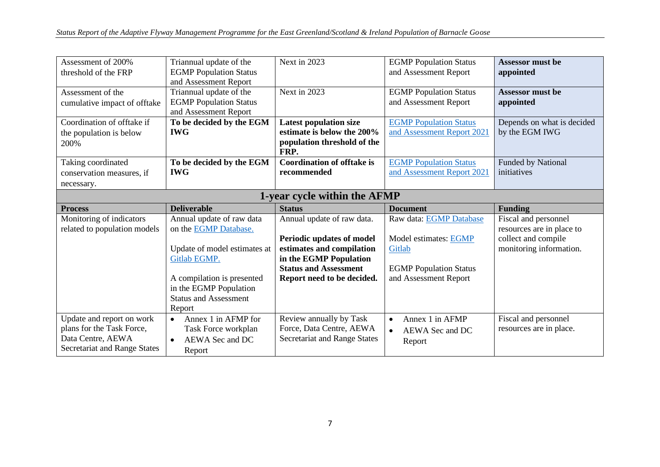| Assessment of 200%<br>threshold of the FRP                    | Triannual update of the<br><b>EGMP</b> Population Status<br>and Assessment Report              | Next in 2023                                                                                                     | <b>EGMP</b> Population Status<br>and Assessment Report      | Assessor must be<br>appointed                     |  |
|---------------------------------------------------------------|------------------------------------------------------------------------------------------------|------------------------------------------------------------------------------------------------------------------|-------------------------------------------------------------|---------------------------------------------------|--|
| Assessment of the<br>cumulative impact of offtake             | Triannual update of the<br><b>EGMP</b> Population Status<br>and Assessment Report              | Next in 2023                                                                                                     | <b>EGMP</b> Population Status<br>and Assessment Report      | <b>Assessor must be</b><br>appointed              |  |
| Coordination of offtake if<br>the population is below<br>200% | To be decided by the EGM<br><b>IWG</b>                                                         | <b>Latest population size</b><br>estimate is below the 200%<br>population threshold of the<br>FRP.               | <b>EGMP Population Status</b><br>and Assessment Report 2021 | Depends on what is decided<br>by the EGM IWG      |  |
| Taking coordinated<br>conservation measures, if<br>necessary. | To be decided by the EGM<br><b>IWG</b>                                                         | <b>Coordination of offtake is</b><br>recommended                                                                 | <b>EGMP Population Status</b><br>and Assessment Report 2021 | <b>Funded by National</b><br>initiatives          |  |
| 1-year cycle within the AFMP                                  |                                                                                                |                                                                                                                  |                                                             |                                                   |  |
|                                                               |                                                                                                |                                                                                                                  |                                                             |                                                   |  |
| <b>Process</b>                                                | <b>Deliverable</b>                                                                             | <b>Status</b>                                                                                                    | <b>Document</b>                                             | <b>Funding</b>                                    |  |
| Monitoring of indicators<br>related to population models      | Annual update of raw data<br>on the <b>EGMP</b> Database.                                      | Annual update of raw data.                                                                                       | Raw data: EGMP Database                                     | Fiscal and personnel<br>resources are in place to |  |
|                                                               | Update of model estimates at<br>Gitlab EGMP.                                                   | Periodic updates of model<br>estimates and compilation<br>in the EGMP Population<br><b>Status and Assessment</b> | Model estimates: EGMP<br>Gitlab                             | collect and compile<br>monitoring information.    |  |
|                                                               | A compilation is presented<br>in the EGMP Population<br><b>Status and Assessment</b><br>Report | Report need to be decided.                                                                                       | <b>EGMP</b> Population Status<br>and Assessment Report      |                                                   |  |